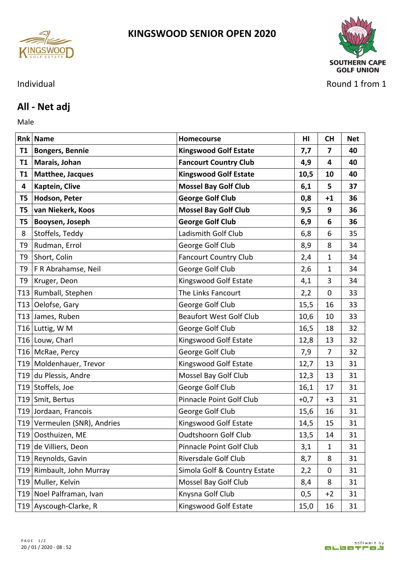



## Individual Round 1 from 1

## **All - Net adj**

Male **Male** 

|                 | <b>Rnk Name</b>              | Homecourse                     | HI     | <b>CH</b>      | <b>Net</b> |
|-----------------|------------------------------|--------------------------------|--------|----------------|------------|
| <b>T1</b>       | <b>Bongers, Bennie</b>       | <b>Kingswood Golf Estate</b>   | 7,7    | $\overline{7}$ | 40         |
| <b>T1</b>       | Marais, Johan                | <b>Fancourt Country Club</b>   | 4,9    | 4              | 40         |
| <b>T1</b>       | Matthee, Jacques             | <b>Kingswood Golf Estate</b>   | 10,5   | 10             | 40         |
| 4               | Kaptein, Clive               | <b>Mossel Bay Golf Club</b>    | 6,1    | 5              | 37         |
| T5              | Hodson, Peter                | <b>George Golf Club</b>        | 0,8    | $+1$           | 36         |
| T5              | van Niekerk, Koos            | <b>Mossel Bay Golf Club</b>    | 9,5    | 9              | 36         |
| T <sub>5</sub>  | Booysen, Joseph              | <b>George Golf Club</b>        | 6,9    | 6              | 36         |
| 8               | Stoffels, Teddy              | Ladismith Golf Club            | 6,8    | 6              | 35         |
| T <sub>9</sub>  | Rudman, Errol                | George Golf Club               | 8,9    | 8              | 34         |
| T <sub>9</sub>  | Short, Colin                 | <b>Fancourt Country Club</b>   | 2,4    | $\mathbf 1$    | 34         |
| T9              | F R Abrahamse, Neil          | George Golf Club               | 2,6    | 1              | 34         |
| T <sub>9</sub>  | Kruger, Deon                 | Kingswood Golf Estate          | 4,1    | 3              | 34         |
| T <sub>13</sub> | Rumball, Stephen             | The Links Fancourt             | 2,2    | 0              | 33         |
|                 | T13 Oelofse, Gary            | George Golf Club               | 15,5   | 16             | 33         |
|                 | T13 James, Ruben             | <b>Beaufort West Golf Club</b> | 10,6   | 10             | 33         |
|                 | T16 Luttig, W M              | George Golf Club               | 16,5   | 18             | 32         |
|                 | T16 Louw, Charl              | Kingswood Golf Estate          | 12,8   | 13             | 32         |
|                 | T16 McRae, Percy             | George Golf Club               | 7,9    | 7              | 32         |
|                 | T19 Moldenhauer, Trevor      | Kingswood Golf Estate          | 12,7   | 13             | 31         |
|                 | T19 du Plessis, Andre        | Mossel Bay Golf Club           | 12,3   | 13             | 31         |
|                 | T19 Stoffels, Joe            | George Golf Club               | 16,1   | 17             | 31         |
|                 | T19 Smit, Bertus             | Pinnacle Point Golf Club       | $+0,7$ | $+3$           | 31         |
|                 | T19 Jordaan, Francois        | George Golf Club               | 15,6   | 16             | 31         |
|                 | T19 Vermeulen (SNR), Andries | Kingswood Golf Estate          | 14,5   | 15             | 31         |
|                 | T19 Oosthuizen, ME           | Oudtshoorn Golf Club           | 13,5   | 14             | 31         |
|                 | T19 de Villiers, Deon        | Pinnacle Point Golf Club       | 3,1    | 1              | 31         |
|                 | T19 Reynolds, Gavin          | Riversdale Golf Club           | 8,7    | 8              | 31         |
|                 | T19 Rimbault, John Murray    | Simola Golf & Country Estate   | 2,2    | 0              | 31         |
|                 | T19 Muller, Kelvin           | Mossel Bay Golf Club           | 8,4    | 8              | 31         |
|                 | T19 Noel Palframan, Ivan     | Knysna Golf Club               | 0,5    | $+2$           | 31         |
|                 | T19 Ayscough-Clarke, R       | Kingswood Golf Estate          | 15,0   | 16             | 31         |